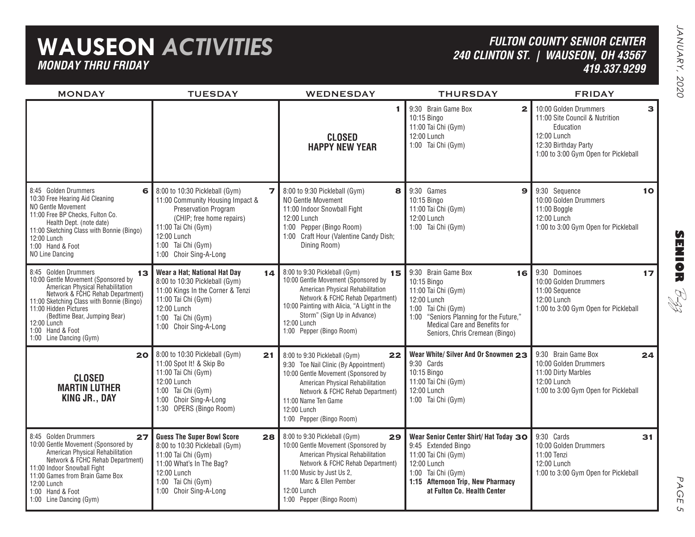## **WAUSEON** *ACTIVITIES MONDAY THRU FRIDAY*

### *FULTON COUNTY SENIOR CENTER240 CLINTON ST. | WAUSEON, OH 43567 419.337.9299*

| <b>MONDAY</b>                                                                                                                                                                                                                                                                                                 | <b>TUESDAY</b>                                                                                                                                                                                                                                  | WEDNESDAY                                                                                                                                                                                                                                                                   | <b>THURSDAY</b>                                                                                                                                                                                                       | <b>FRIDAY</b>                                                                                                                                       |                 |
|---------------------------------------------------------------------------------------------------------------------------------------------------------------------------------------------------------------------------------------------------------------------------------------------------------------|-------------------------------------------------------------------------------------------------------------------------------------------------------------------------------------------------------------------------------------------------|-----------------------------------------------------------------------------------------------------------------------------------------------------------------------------------------------------------------------------------------------------------------------------|-----------------------------------------------------------------------------------------------------------------------------------------------------------------------------------------------------------------------|-----------------------------------------------------------------------------------------------------------------------------------------------------|-----------------|
|                                                                                                                                                                                                                                                                                                               |                                                                                                                                                                                                                                                 | 1.<br><b>CLOSED</b><br><b>HAPPY NEW YEAR</b>                                                                                                                                                                                                                                | 9:30 Brain Game Box<br>$\mathbf{2}$<br>10:15 Bingo<br>11:00 Tai Chi (Gym)<br>12:00 Lunch<br>1:00 Tai Chi (Gym)                                                                                                        | 10:00 Golden Drummers<br>11:00 Site Council & Nutrition<br>Education<br>12:00 Lunch<br>12:30 Birthday Party<br>1:00 to 3:00 Gym Open for Pickleball | З               |
| 8:45 Golden Drummers<br>6<br>10:30 Free Hearing Aid Cleaning<br>NO Gentle Movement<br>11:00 Free BP Checks, Fulton Co.<br>Health Dept. (note date)<br>11:00 Sketching Class with Bonnie (Bingo)<br>12:00 Lunch<br>1:00 Hand & Foot<br>NO Line Dancing                                                         | 8:00 to 10:30 Pickleball (Gym)<br>$\overline{\mathbf{z}}$<br>11:00 Community Housing Impact &<br><b>Preservation Program</b><br>(CHIP; free home repairs)<br>11:00 Tai Chi (Gym)<br>12:00 Lunch<br>1:00 Tai Chi (Gym)<br>1:00 Choir Sing-A-Long | 8:00 to 9:30 Pickleball (Gym)<br>8<br>NO Gentle Movement<br>11:00 Indoor Snowball Fight<br>12:00 Lunch<br>1:00 Pepper (Bingo Room)<br>1:00 Craft Hour (Valentine Candy Dish;<br>Dining Room)                                                                                | 9:30 Games<br>$\mathbf{9}$<br>10:15 Bingo<br>11:00 Tai Chi (Gym)<br>12:00 Lunch<br>1:00 Tai Chi (Gym)                                                                                                                 | 9:30 Sequence<br>10:00 Golden Drummers<br>11:00 Boggle<br>12:00 Lunch<br>1:00 to 3:00 Gym Open for Pickleball                                       | 10 <sub>o</sub> |
| 8:45 Golden Drummers<br>13<br>10:00 Gentle Movement (Sponsored by<br>American Physical Rehabilitation<br>Network & FCHC Rehab Department)<br>11:00 Sketching Class with Bonnie (Bingo)<br>11:00 Hidden Pictures<br>(Bedtime Bear, Jumping Bear)<br>12:00 Lunch<br>1:00 Hand & Foot<br>1:00 Line Dancing (Gym) | Wear a Hat; National Hat Day<br>14<br>8:00 to 10:30 Pickleball (Gym)<br>11:00 Kings In the Corner & Tenzi<br>11:00 Tai Chi (Gym)<br>12:00 Lunch<br>1:00 Tai Chi (Gym)<br>1:00 Choir Sing-A-Long                                                 | 8:00 to 9:30 Pickleball (Gym)<br>15<br>10:00 Gentle Movement (Sponsored by<br>American Physical Rehabilitation<br>Network & FCHC Rehab Department)<br>10:00 Painting with Alicia, "A Light in the<br>Storm" (Sign Up in Advance)<br>12:00 Lunch<br>1:00 Pepper (Bingo Room) | 9:30 Brain Game Box<br>16<br>10:15 Bingo<br>11:00 Tai Chi (Gym)<br>12:00 Lunch<br>1:00 Tai Chi (Gym)<br>"Seniors Planning for the Future,"<br>1:00<br>Medical Care and Benefits for<br>Seniors, Chris Cremean (Bingo) | 9:30 Dominoes<br>10:00 Golden Drummers<br>11:00 Sequence<br>12:00 Lunch<br>1:00 to 3:00 Gym Open for Pickleball                                     | 17              |
| 20<br><b>CLOSED</b><br><b>MARTIN LUTHER</b><br>KING JR., DAY                                                                                                                                                                                                                                                  | 8:00 to 10:30 Pickleball (Gym)<br>21<br>11:00 Spot It! & Skip Bo<br>11:00 Tai Chi (Gym)<br>12:00 Lunch<br>1:00 Tai Chi (Gym)<br>1:00 Choir Sing-A-Long<br>1:30 OPERS (Bingo Room)                                                               | 22<br>8:00 to 9:30 Pickleball (Gym)<br>9:30 Toe Nail Clinic (By Appointment)<br>10:00 Gentle Movement (Sponsored by<br>American Physical Rehabilitation<br>Network & FCHC Rehab Department)<br>11:00 Name Ten Game<br>12:00 Lunch<br>1:00 Pepper (Bingo Room)               | Wear White/ Silver And Or Snowmen 23<br>9:30 Cards<br>10:15 Bingo<br>11:00 Tai Chi (Gym)<br>12:00 Lunch<br>1:00 Tai Chi (Gym)                                                                                         | 9:30 Brain Game Box<br>10:00 Golden Drummers<br>11:00 Dirty Marbles<br>12:00 Lunch<br>1:00 to 3:00 Gym Open for Pickleball                          | 24              |
| 8:45 Golden Drummers<br>27<br>10:00 Gentle Movement (Sponsored by<br>American Physical Rehabilitation<br>Network & FCHC Rehab Department)<br>11:00 Indoor Snowball Fight<br>11:00 Games from Brain Game Box<br>12:00 Lunch<br>1:00 Hand & Foot<br>1:00 Line Dancing (Gym)                                     | <b>Guess The Super Bowl Score</b><br>28<br>8:00 to 10:30 Pickleball (Gym)<br>11:00 Tai Chi (Gym)<br>11:00 What's In The Bag?<br>12:00 Lunch<br>1:00 Tai Chi (Gym)<br>1:00 Choir Sing-A-Long                                                     | 8:00 to 9:30 Pickleball (Gym)<br>29<br>10:00 Gentle Movement (Sponsored by<br>American Physical Rehabilitation<br>Network & FCHC Rehab Department)<br>11:00 Music by Just Us 2,<br>Marc & Ellen Pember<br>12:00 Lunch<br>1:00 Pepper (Bingo Room)                           | Wear Senior Center Shirt/ Hat Today 30<br>9:45 Extended Bingo<br>11:00 Tai Chi (Gym)<br>12:00 Lunch<br>1:00 Tai Chi (Gym)<br>1:15 Afternoon Trip, New Pharmacy<br>at Fulton Co. Health Center                         | 9:30 Cards<br>10:00 Golden Drummers<br>11:00 Tenzi<br>12:00 Lunch<br>1:00 to 3:00 Gym Open for Pickleball                                           | 31              |

**SENIOR** B-zz

> PAGE PAGE 5  $\mathsf{C}_{\mathsf{L}}$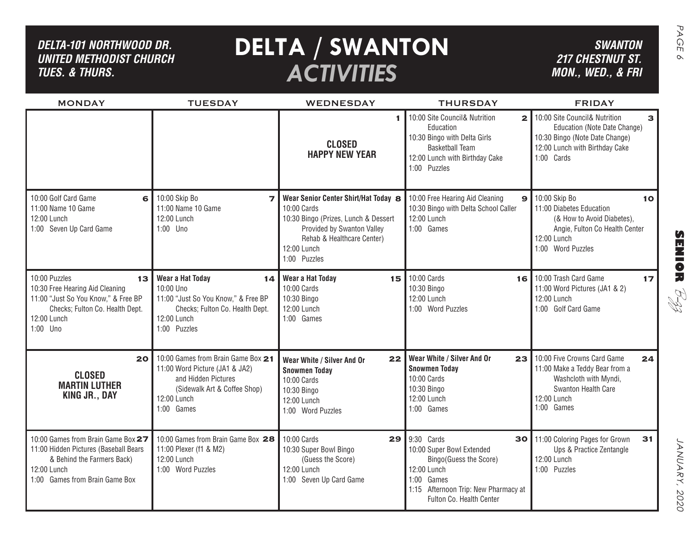| DELTA-101 NORTHWOOD DR.<br><b>UNITED METHODIST CHURCH</b><br><b>TUES. &amp; THURS.</b>                                                                      |                                                                                                                                                          | <b>DELTA / SWANTON</b><br><b>ACTIVITIES</b>                                                                                                                                            |                                                                                                                                                                          | <b>SWANTON</b><br><b>217 CHESTNUT ST.</b><br>MON., WED., & FRI                                                                                       |
|-------------------------------------------------------------------------------------------------------------------------------------------------------------|----------------------------------------------------------------------------------------------------------------------------------------------------------|----------------------------------------------------------------------------------------------------------------------------------------------------------------------------------------|--------------------------------------------------------------------------------------------------------------------------------------------------------------------------|------------------------------------------------------------------------------------------------------------------------------------------------------|
| <b>MONDAY</b>                                                                                                                                               | <b>TUESDAY</b>                                                                                                                                           | <b>WEDNESDAY</b>                                                                                                                                                                       | <b>THURSDAY</b>                                                                                                                                                          | <b>FRIDAY</b>                                                                                                                                        |
|                                                                                                                                                             |                                                                                                                                                          | <b>CLOSED</b><br><b>HAPPY NEW YEAR</b>                                                                                                                                                 | 10:00 Site Council& Nutrition<br>$\overline{2}$<br>Education<br>10:30 Bingo with Delta Girls<br><b>Basketball Team</b><br>12:00 Lunch with Birthday Cake<br>1:00 Puzzles | 10:00 Site Council& Nutrition<br>з<br>Education (Note Date Change)<br>10:30 Bingo (Note Date Change)<br>12:00 Lunch with Birthday Cake<br>1:00 Cards |
| 10:00 Golf Card Game<br>6<br>11:00 Name 10 Game<br>12:00 Lunch<br>1:00 Seven Up Card Game                                                                   | 10:00 Skip Bo<br>11:00 Name 10 Game<br>12:00 Lunch<br>1:00 Uno                                                                                           | Wear Senior Center Shirt/Hat Today 8<br>10:00 Cards<br>10:30 Bingo (Prizes, Lunch & Dessert<br>Provided by Swanton Valley<br>Rehab & Healthcare Center)<br>12:00 Lunch<br>1:00 Puzzles | 10:00 Free Hearing Aid Cleaning<br>9<br>10:30 Bingo with Delta School Caller<br>12:00 Lunch<br>1:00 Games                                                                | 10:00 Skip Bo<br>10<br>11:00 Diabetes Education<br>(& How to Avoid Diabetes),<br>Angie, Fulton Co Health Center<br>12:00 Lunch<br>1:00 Word Puzzles  |
| 10:00 Puzzles<br>13<br>10:30 Free Hearing Aid Cleaning<br>11:00 "Just So You Know," & Free BP<br>Checks; Fulton Co. Health Dept.<br>12:00 Lunch<br>1:00 Uno | Wear a Hat Today<br>14<br>10:00 Uno<br>11:00 "Just So You Know," & Free BP<br>Checks; Fulton Co. Health Dept.<br>12:00 Lunch<br>1:00 Puzzles             | Wear a Hat Today<br>15 I<br>10:00 Cards<br>10:30 Bingo<br>12:00 Lunch<br>1:00 Games                                                                                                    | 10:00 Cards<br>10:30 Bingo<br>12:00 Lunch<br>1:00 Word Puzzles                                                                                                           | 16 10:00 Trash Card Game<br>17<br>11:00 Word Pictures (JA1 & 2)<br>RI<br>R<br>12:00 Lunch<br>1:00 Golf Card Game                                     |
| 20<br><b>CLOSED</b><br><b>MARTIN LUTHER</b><br><b>KING JR., DAY</b>                                                                                         | 10:00 Games from Brain Game Box 21<br>11:00 Word Picture (JA1 & JA2)<br>and Hidden Pictures<br>(Sidewalk Art & Coffee Shop)<br>12:00 Lunch<br>1:00 Games | 22<br>Wear White / Silver And Or<br><b>Snowmen Today</b><br>10:00 Cards<br>10:30 Bingo<br>12:00 Lunch<br>1:00 Word Puzzles                                                             | Wear White / Silver And Or<br>23<br><b>Snowmen Today</b><br>10:00 Cards<br>10:30 Bingo<br>12:00 Lunch<br>1:00 Games                                                      | 10:00 Five Crowns Card Game<br>24<br>11:00 Make a Teddy Bear from a<br>Washcloth with Myndi,<br>Swanton Health Care<br>12:00 Lunch<br>1:00 Games     |
| 10:00 Games from Brain Game Box 27<br>11:00 Hidden Pictures (Baseball Bears<br>& Behind the Farmers Back)<br>12:00 Lunch<br>1:00 Games from Brain Game Box  | 10:00 Games from Brain Game Box 28<br>11:00 Plexer (f1 & M2)<br>12:00 Lunch<br>1:00 Word Puzzles                                                         | 10:00 Cards<br>29<br>10:30 Super Bowl Bingo<br>(Guess the Score)<br>12:00 Lunch<br>1:00 Seven Up Card Game                                                                             | 9:30 Cards<br>10:00 Super Bowl Extended<br>Bingo(Guess the Score)<br>12:00 Lunch<br>1:00 Games<br>1:15 Afternoon Trip: New Pharmacy at<br>Fulton Co. Health Center       | 30 11:00 Coloring Pages for Grown<br>31<br>Ups & Practice Zentangle<br>12:00 Lunch<br>1:00 Puzzles                                                   |